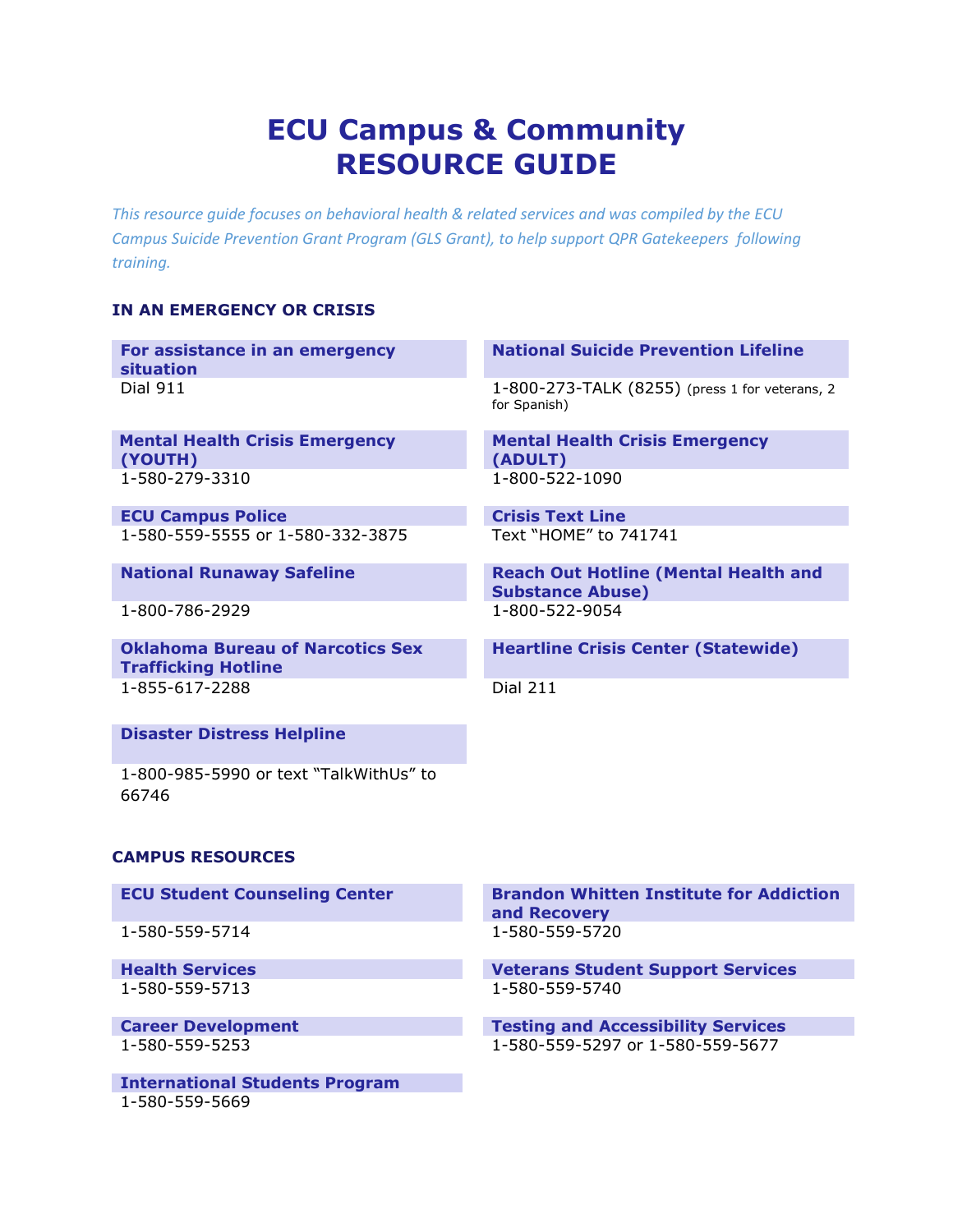# **ECU Campus & Community RESOURCE GUIDE**

*This resource guide focuses on behavioral health & related services and was compiled by the ECU Campus Suicide Prevention Grant Program (GLS Grant), to help support QPR Gatekeepers following training.*

## **IN AN EMERGENCY OR CRISIS**

| For assistance in an emergency<br>situation                           | <b>National Suicide Prevention Lifeline</b>                            |
|-----------------------------------------------------------------------|------------------------------------------------------------------------|
| <b>Dial 911</b>                                                       | 1-800-273-TALK (8255) (press 1 for veterans, 2<br>for Spanish)         |
| <b>Mental Health Crisis Emergency</b><br>(YOUTH)                      | <b>Mental Health Crisis Emergency</b><br>(ADULT)                       |
| 1-580-279-3310                                                        | 1-800-522-1090                                                         |
| <b>ECU Campus Police</b>                                              | <b>Crisis Text Line</b>                                                |
| 1-580-559-5555 or 1-580-332-3875                                      | Text "HOME" to 741741                                                  |
| <b>National Runaway Safeline</b>                                      | <b>Reach Out Hotline (Mental Health and</b><br><b>Substance Abuse)</b> |
| 1-800-786-2929                                                        | 1-800-522-9054                                                         |
| <b>Oklahoma Bureau of Narcotics Sex</b><br><b>Trafficking Hotline</b> | <b>Heartline Crisis Center (Statewide)</b>                             |
| 1-855-617-2288                                                        | <b>Dial 211</b>                                                        |
| <b>Disaster Distress Helpline</b>                                     |                                                                        |
| 1-800-985-5990 or text "TalkWithUs" to<br>66746                       |                                                                        |
| <b>CAMPUS RESOURCES</b>                                               |                                                                        |

1-580-559-5714 1-580-559-5720

1-580-559-5713

**International Students Program**  1-580-559-5669

**ECU Student Counseling Center Brandon Whitten Institute for Addiction and Recovery** 

**Health Services Veterans Student Support Services** 

**Career Development Career Development Career Accessibility Services** 1-580-559-5253 1-580-559-5297 or 1-580-559-5677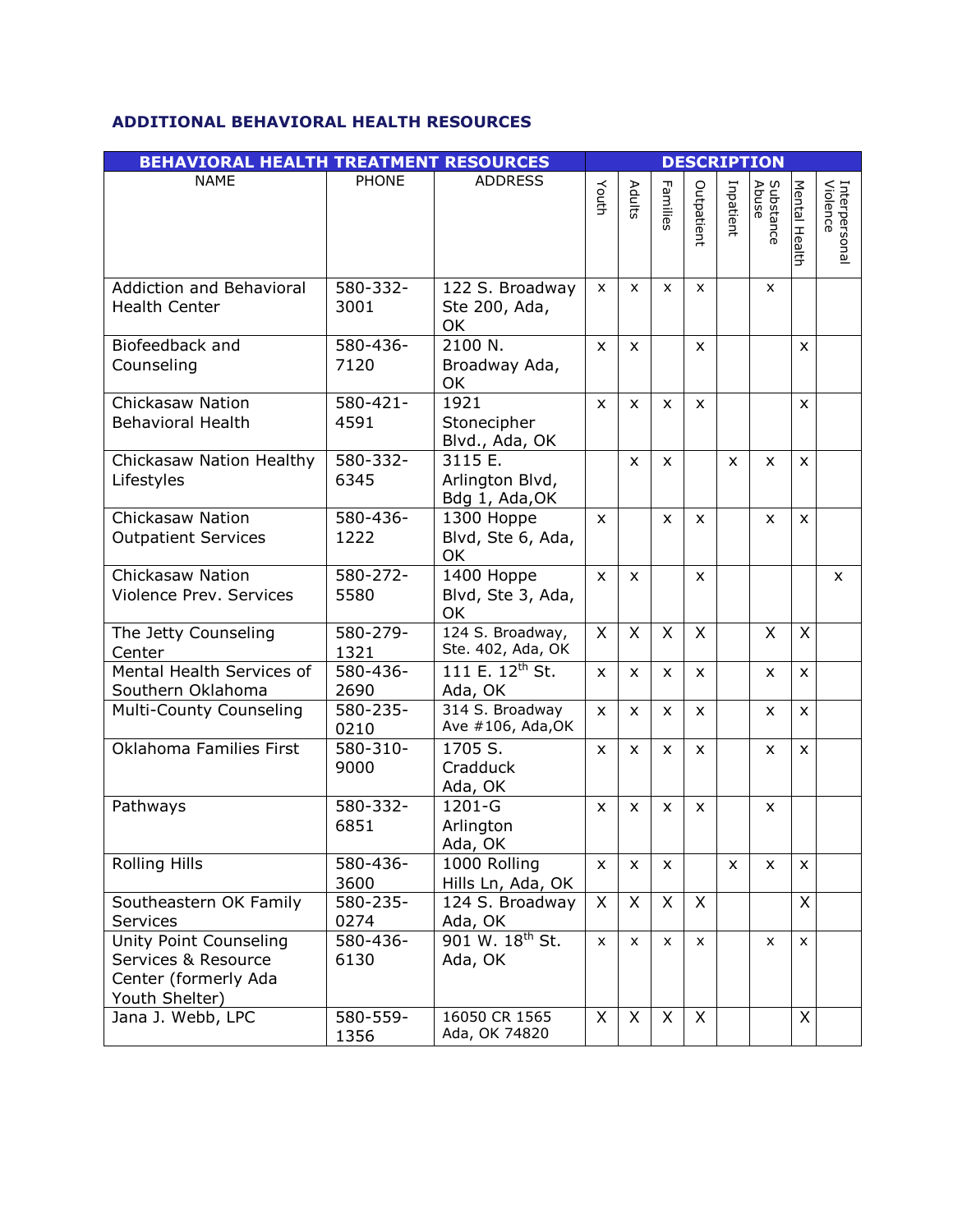# **ADDITIONAL BEHAVIORAL HEALTH RESOURCES**

| <b>BEHAVIORAL HEALTH TREATMENT RESOURCES</b>                                            |                  |                                              |                    |              |              |              | <b>DESCRIPTION</b> |                    |                |                           |
|-----------------------------------------------------------------------------------------|------------------|----------------------------------------------|--------------------|--------------|--------------|--------------|--------------------|--------------------|----------------|---------------------------|
| <b>NAME</b>                                                                             | <b>PHONE</b>     | <b>ADDRESS</b>                               | Youth              | Adults       | Families     | Outpatient   | Inpatient          | Substance<br>Abuse | Mental Health  | Interpersonal<br>Violence |
| Addiction and Behavioral<br><b>Health Center</b>                                        | 580-332-<br>3001 | 122 S. Broadway<br>Ste 200, Ada,<br>OK       | X                  | X            | X            | X            |                    | X                  |                |                           |
| Biofeedback and<br>Counseling                                                           | 580-436-<br>7120 | 2100 N.<br>Broadway Ada,<br>OK               | $\mathsf{x}$       | X            |              | X            |                    |                    | X              |                           |
| Chickasaw Nation<br><b>Behavioral Health</b>                                            | 580-421-<br>4591 | 1921<br>Stonecipher<br>Blvd., Ada, OK        | $\mathsf{x}$       | X            | $\mathsf{x}$ | $\mathsf{x}$ |                    |                    | X              |                           |
| Chickasaw Nation Healthy<br>Lifestyles                                                  | 580-332-<br>6345 | 3115 E.<br>Arlington Blvd,<br>Bdg 1, Ada, OK |                    | X            | $\mathsf{x}$ |              | X                  | X                  | $\mathsf{x}$   |                           |
| <b>Chickasaw Nation</b><br><b>Outpatient Services</b>                                   | 580-436-<br>1222 | 1300 Hoppe<br>Blvd, Ste 6, Ada,<br>OK        | X                  |              | X            | X            |                    | X                  | $\mathsf{x}$   |                           |
| Chickasaw Nation<br>Violence Prev. Services                                             | 580-272-<br>5580 | 1400 Hoppe<br>Blvd, Ste 3, Ada,<br>OK        | X                  | X            |              | $\mathsf{x}$ |                    |                    |                | x                         |
| The Jetty Counseling<br>Center                                                          | 580-279-<br>1321 | 124 S. Broadway,<br>Ste. 402, Ada, OK        | X                  | X            | X            | X            |                    | X                  | X              |                           |
| Mental Health Services of<br>Southern Oklahoma                                          | 580-436-<br>2690 | 111 E. $12^{th}$ St.<br>Ada, OK              | $\mathsf{x}$       | X            | X            | $\mathsf{x}$ |                    | X                  | $\pmb{\times}$ |                           |
| Multi-County Counseling                                                                 | 580-235-<br>0210 | 314 S. Broadway<br>Ave #106, Ada, OK         | $\mathsf{x}$       | $\mathsf{x}$ | X            | $\mathsf{x}$ |                    | X                  | $\mathsf{x}$   |                           |
| Oklahoma Families First                                                                 | 580-310-<br>9000 | 1705 S.<br>Cradduck<br>Ada, OK               | $\mathsf{x}$       | X            | X            | $\mathsf{x}$ |                    | X                  | $\mathsf{x}$   |                           |
| Pathways                                                                                | 580-332-<br>6851 | 1201-G<br>Arlington<br>Ada, OK               | X                  | X            | $\mathsf{x}$ | X            |                    | X                  |                |                           |
| <b>Rolling Hills</b>                                                                    | 580-436-<br>3600 | 1000 Rolling<br>Hills Ln, Ada, OK            | X                  | X            | x            |              | x                  | X                  | X              |                           |
| Southeastern OK Family<br>Services                                                      | 580-235-<br>0274 | 124 S. Broadway<br>Ada, OK                   | X                  | X            | X            | $\mathsf{X}$ |                    |                    | X              |                           |
| Unity Point Counseling<br>Services & Resource<br>Center (formerly Ada<br>Youth Shelter) | 580-436-<br>6130 | 901 W. 18 <sup>th</sup> St.<br>Ada, OK       | $\pmb{\mathsf{X}}$ | X            | X            | X            |                    | x                  | X              |                           |
| Jana J. Webb, LPC                                                                       | 580-559-<br>1356 | 16050 CR 1565<br>Ada, OK 74820               | X                  | X            | X            | X            |                    |                    | X              |                           |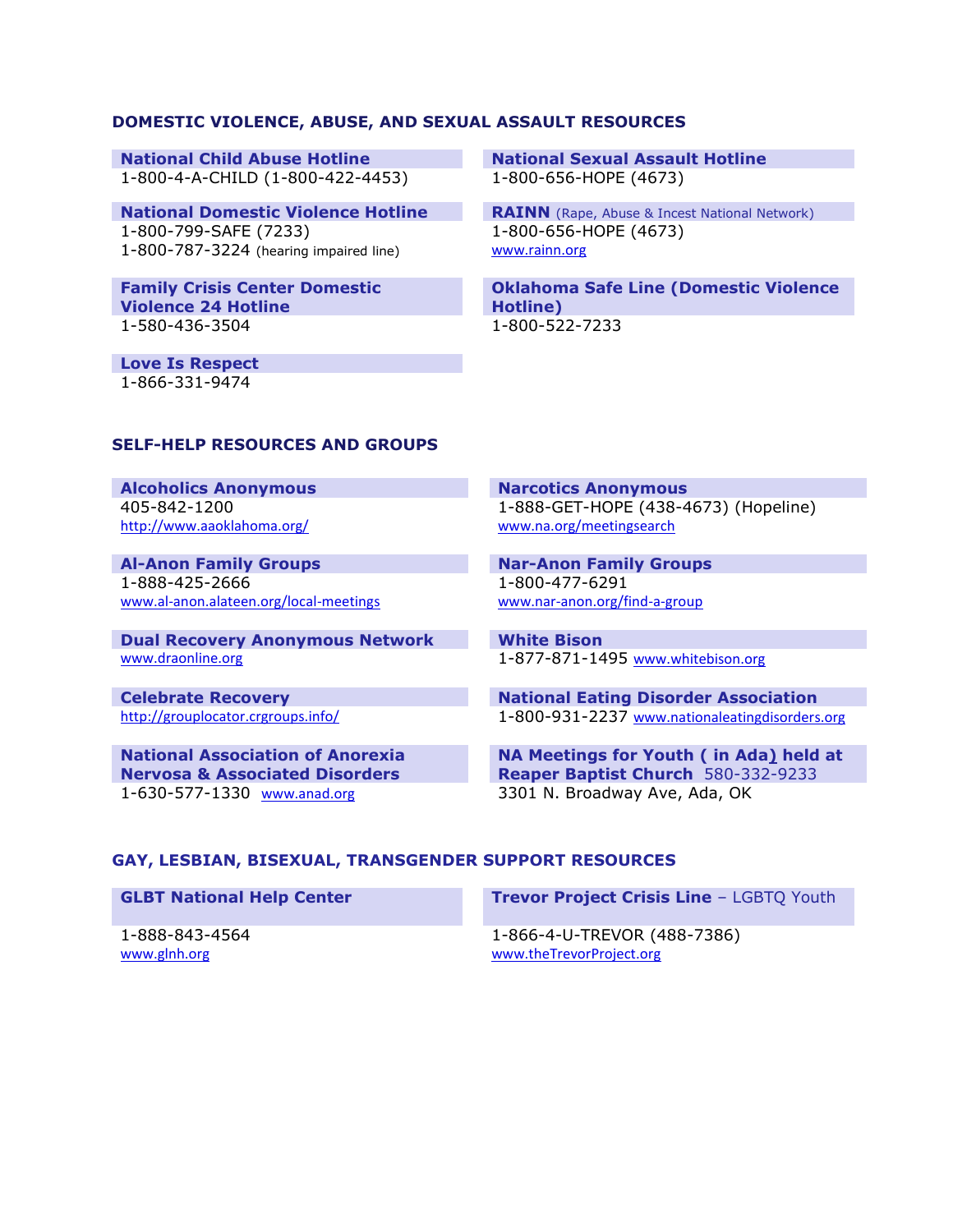#### **DOMESTIC VIOLENCE, ABUSE, AND SEXUAL ASSAULT RESOURCES**

1-800-4-A-CHILD (1-800-422-4453) 1-800-656-HOPE (4673)

**National Domestic Violence Hotline <b>RAINN** (Rape, Abuse & Incest National Network) 1-800-799-SAFE (7233) 1-800-787-3224 (hearing impaired line)

**Family Crisis Center Domestic Violence 24 Hotline** 1-580-436-3504 1-800-522-7233

**Love Is Respect**  1-866-331-9474

**National Child Abuse Hotline National Sexual Assault Hotline**

1-800-656-HOPE (4673) [www.rainn.org](http://www.rainn.org/)

**Oklahoma Safe Line (Domestic Violence Hotline)** 

### **SELF-HELP RESOURCES AND GROUPS**

**Alcoholics Anonymous Narcotics Anonymous** 405-842-1200 <http://www.aaoklahoma.org/>

1-888-425-2666 [www.al-anon.alateen.org/local-meetings](http://www.al-anon.alateen.org/local-meetings)

**Dual Recovery Anonymous Network White Bison** [www.draonline.org](http://www.draonline.org/) 1-877-871-1495 [www.whitebison.org](http://www.whitebison.org/)

**National Association of Anorexia Nervosa & Associated Disorders** 1-630-577-1330 [www.anad.org](http://www.anad.org/) 3301 N. Broadway Ave, Ada, OK

1-888-GET-HOPE (438-4673) (Hopeline) [www.na.org/meetingsearch](http://www.na.org/meetingsearch)

**Al-Anon Family Groups Nar-Anon Family Groups** 1-800-477-6291 [www.nar-anon.org/find-a-group](http://www.nar-anon.org/find-a-group)

**Celebrate Recovery National Eating Disorder Association** <http://grouplocator.crgroups.info/> 1-800-931-2237 [www.nationaleatingdisorders.org](http://www.nationaleatingdisorders.org/)

> **NA Meetings for Youth ( in Ada) held at Reaper Baptist Church** 580-332-9233

#### **GAY, LESBIAN, BISEXUAL, TRANSGENDER SUPPORT RESOURCES**

1-888-843-4564 [www.glnh.org](http://www.glnh.org/)

**GLBT National Help Center Trevor Project Crisis Line - LGBTQ Youth** 

1-866-4-U-TREVOR (488-7386) [www.theTrevorProject.org](http://www.thetrevorproject.org/)